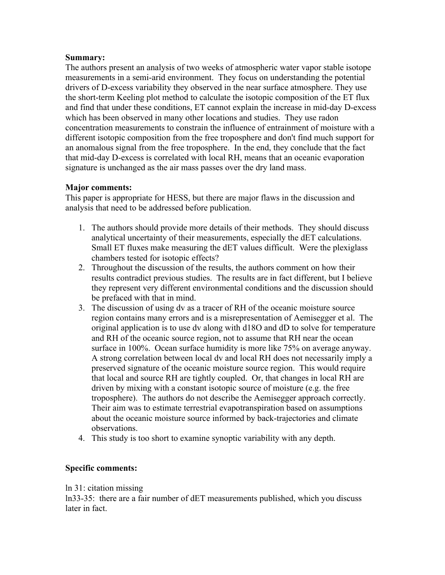## **Summary:**

The authors present an analysis of two weeks of atmospheric water vapor stable isotope measurements in a semi-arid environment. They focus on understanding the potential drivers of D-excess variability they observed in the near surface atmosphere. They use the short-term Keeling plot method to calculate the isotopic composition of the ET flux and find that under these conditions, ET cannot explain the increase in mid-day D-excess which has been observed in many other locations and studies. They use radon concentration measurements to constrain the influence of entrainment of moisture with a different isotopic composition from the free troposphere and don't find much support for an anomalous signal from the free troposphere. In the end, they conclude that the fact that mid-day D-excess is correlated with local RH, means that an oceanic evaporation signature is unchanged as the air mass passes over the dry land mass.

## **Major comments:**

This paper is appropriate for HESS, but there are major flaws in the discussion and analysis that need to be addressed before publication.

- 1. The authors should provide more details of their methods. They should discuss analytical uncertainty of their measurements, especially the dET calculations. Small ET fluxes make measuring the dET values difficult. Were the plexiglass chambers tested for isotopic effects?
- 2. Throughout the discussion of the results, the authors comment on how their results contradict previous studies. The results are in fact different, but I believe they represent very different environmental conditions and the discussion should be prefaced with that in mind.
- 3. The discussion of using dv as a tracer of RH of the oceanic moisture source region contains many errors and is a misrepresentation of Aemisegger et al. The original application is to use dv along with d18O and dD to solve for temperature and RH of the oceanic source region, not to assume that RH near the ocean surface in 100%. Ocean surface humidity is more like 75% on average anyway. A strong correlation between local dv and local RH does not necessarily imply a preserved signature of the oceanic moisture source region. This would require that local and source RH are tightly coupled. Or, that changes in local RH are driven by mixing with a constant isotopic source of moisture (e.g. the free troposphere). The authors do not describe the Aemisegger approach correctly. Their aim was to estimate terrestrial evapotranspiration based on assumptions about the oceanic moisture source informed by back-trajectories and climate observations.
- 4. This study is too short to examine synoptic variability with any depth.

## **Specific comments:**

## ln 31: citation missing

ln33-35: there are a fair number of dET measurements published, which you discuss later in fact.